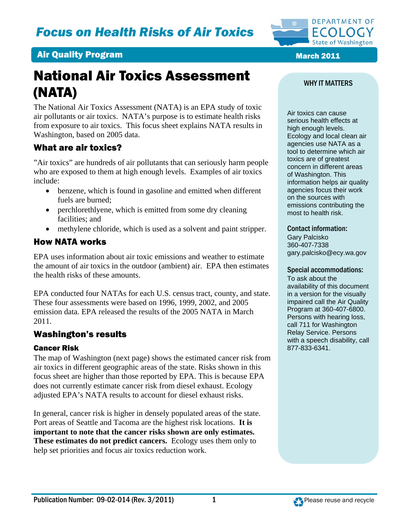

# National Air Toxics Assessment (NATA)

The National Air Toxics Assessment (NATA) is an EPA study of toxic air pollutants or air toxics. NATA's purpose is to estimate health risks from exposure to air toxics. This focus sheet explains NATA results in Washington, based on 2005 data.

### What are air toxics?

"Air toxics" are hundreds of air pollutants that can seriously harm people who are exposed to them at high enough levels. Examples of air toxics include:

- benzene, which is found in gasoline and emitted when different fuels are burned;
- perchlorethlyene, which is emitted from some dry cleaning facilities; and
- methylene chloride, which is used as a solvent and paint stripper.

### How NATA works

EPA uses information about air toxic emissions and weather to estimate the amount of air toxics in the outdoor (ambient) air. EPA then estimates the health risks of these amounts.

EPA conducted four NATAs for each U.S. census tract, county, and state. These four assessments were based on 1996, 1999, 2002, and 2005 emission data. EPA released the results of the 2005 NATA in March 2011.

### Washington's results

### Cancer Risk

The map of Washington (next page) shows the estimated cancer risk from air toxics in different geographic areas of the state. Risks shown in this focus sheet are higher than those reported by EPA. This is because EPA does not currently estimate cancer risk from diesel exhaust. Ecology adjusted EPA's NATA results to account for diesel exhaust risks.

In general, cancer risk is higher in densely populated areas of the state. Port areas of Seattle and Tacoma are the highest risk locations. **It is important to note that the cancer risks shown are only estimates. These estimates do not predict cancers.** Ecology uses them only to help set priorities and focus air toxics reduction work.

#### WHY IT MATTERS

Air toxics can cause serious health effects at high enough levels. Ecology and local clean air agencies use NATA as a tool to determine which air toxics are of greatest concern in different areas of Washington. This information helps air quality agencies focus their work on the sources with emissions contributing the most to health risk.

#### Contact information:

Gary Palcisko 360-407-7338 gary.palcisko@ecy.wa.gov

#### Special accommodations:

To ask about the availability of this document in a version for the visually impaired call the Air Quality Program at 360-407-6800. Persons with hearing loss, call 711 for Washington Relay Service. Persons with a speech disability, call 877-833-6341.

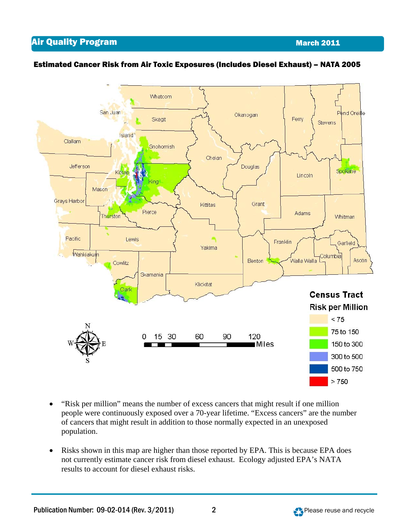**Air Quality Program March 2011** 



### Estimated Cancer Risk from Air Toxic Exposures (Includes Diesel Exhaust) – NATA 2005

- "Risk per million" means the number of excess cancers that might result if one million people were continuously exposed over a 70-year lifetime. "Excess cancers" are the number of cancers that might result in addition to those normally expected in an unexposed population.
- Risks shown in this map are higher than those reported by EPA. This is because EPA does not currently estimate cancer risk from diesel exhaust. Ecology adjusted EPA's NATA results to account for diesel exhaust risks.

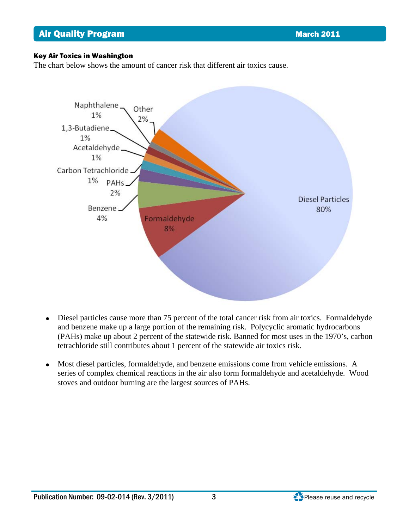#### Key Air Toxics in Washington

The chart below shows the amount of cancer risk that different air toxics cause.



- Diesel particles cause more than 75 percent of the total cancer risk from air toxics. Formaldehyde and benzene make up a large portion of the remaining risk. Polycyclic aromatic hydrocarbons (PAHs) make up about 2 percent of the statewide risk. Banned for most uses in the 1970's, carbon tetrachloride still contributes about 1 percent of the statewide air toxics risk.
- Most diesel particles, formaldehyde, and benzene emissions come from vehicle emissions. A series of complex chemical reactions in the air also form formaldehyde and acetaldehyde. Wood stoves and outdoor burning are the largest sources of PAHs.

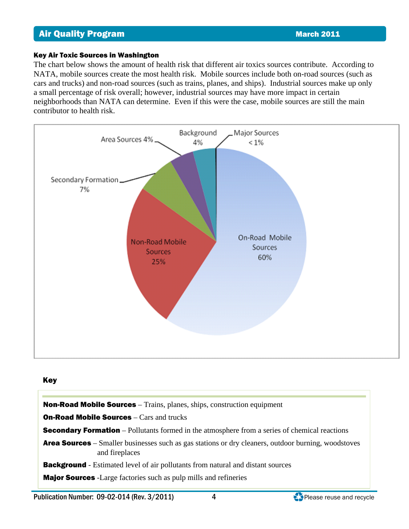#### Key Air Toxic Sources in Washington

The chart below shows the amount of health risk that different air toxics sources contribute. According to NATA, mobile sources create the most health risk. Mobile sources include both on-road sources (such as cars and trucks) and non-road sources (such as trains, planes, and ships). Industrial sources make up only a small percentage of risk overall; however, industrial sources may have more impact in certain neighborhoods than NATA can determine. Even if this were the case, mobile sources are still the main contributor to health risk.



#### Key



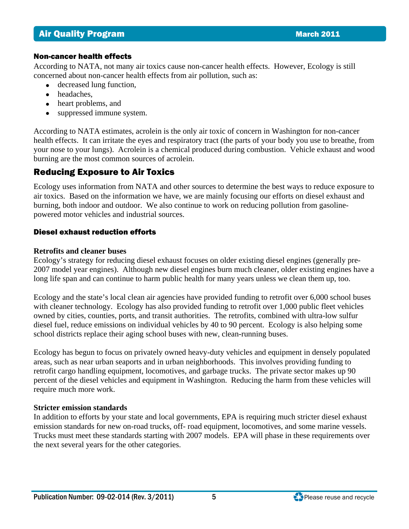#### Non-cancer health effects

According to NATA, not many air toxics cause non-cancer health effects. However, Ecology is still concerned about non-cancer health effects from air pollution, such as:

- decreased lung function,
- headaches.
- heart problems, and
- suppressed immune system.

According to NATA estimates, acrolein is the only air toxic of concern in Washington for non-cancer health effects. It can irritate the eyes and respiratory tract (the parts of your body you use to breathe, from your nose to your lungs). Acrolein is a chemical produced during combustion. Vehicle exhaust and wood burning are the most common sources of acrolein.

## Reducing Exposure to Air Toxics

Ecology uses information from NATA and other sources to determine the best ways to reduce exposure to air toxics. Based on the information we have, we are mainly focusing our efforts on diesel exhaust and burning, both indoor and outdoor. We also continue to work on reducing pollution from gasolinepowered motor vehicles and industrial sources.

### Diesel exhaust reduction efforts

### **Retrofits and cleaner buses**

Ecology's strategy for reducing diesel exhaust focuses on older existing diesel engines (generally pre-2007 model year engines). Although new diesel engines burn much cleaner, older existing engines have a long life span and can continue to harm public health for many years unless we clean them up, too.

Ecology and the state's local clean air agencies have provided funding to retrofit over 6,000 school buses with cleaner technology. Ecology has also provided funding to retrofit over 1,000 public fleet vehicles owned by cities, counties, ports, and transit authorities. The retrofits, combined with ultra-low sulfur diesel fuel, reduce emissions on individual vehicles by 40 to 90 percent. Ecology is also helping some school districts replace their aging school buses with new, clean-running buses.

Ecology has begun to focus on privately owned heavy-duty vehicles and equipment in densely populated areas, such as near urban seaports and in urban neighborhoods. This involves providing funding to retrofit cargo handling equipment, locomotives, and garbage trucks. The private sector makes up 90 percent of the diesel vehicles and equipment in Washington. Reducing the harm from these vehicles will require much more work.

### **Stricter emission standards**

In addition to efforts by your state and local governments, EPA is requiring much stricter diesel exhaust emission standards for new on-road trucks, off- road equipment, locomotives, and some marine vessels. Trucks must meet these standards starting with 2007 models. EPA will phase in these requirements over the next several years for the other categories.

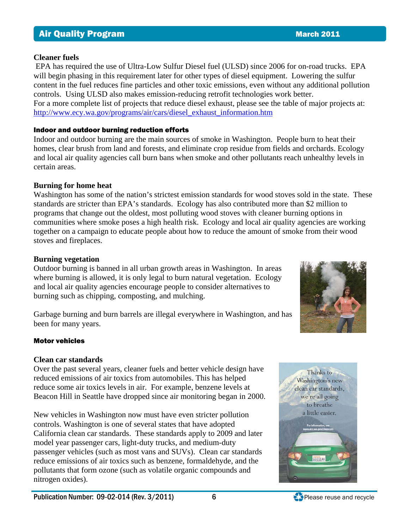#### **Cleaner fuels**

 EPA has required the use of Ultra-Low Sulfur Diesel fuel (ULSD) since 2006 for on-road trucks. EPA will begin phasing in this requirement later for other types of diesel equipment. Lowering the sulfur content in the fuel reduces fine particles and other toxic emissions, even without any additional pollution controls. Using ULSD also makes emission-reducing retrofit technologies work better. For a more complete list of projects that reduce diesel exhaust, please see the table of major projects at: [http://www.ecy.wa.gov/programs/air/cars/diesel\\_exhaust\\_information.htm](http://www.ecy.wa.gov/programs/air/cars/diesel_exhaust_information.htm)

#### Indoor and outdoor burning reduction efforts

Indoor and outdoor burning are the main sources of smoke in Washington. People burn to heat their homes, clear brush from land and forests, and eliminate crop residue from fields and orchards. Ecology and local air quality agencies call burn bans when smoke and other pollutants reach unhealthy levels in certain areas.

### **Burning for home heat**

Washington has some of the nation's strictest emission standards for wood stoves sold in the state. These standards are stricter than EPA's standards. Ecology has also contributed more than \$2 million to programs that change out the oldest, most polluting wood stoves with cleaner burning options in communities where smoke poses a high health risk. Ecology and local air quality agencies are working together on a campaign to educate people about how to reduce the amount of smoke from their wood stoves and fireplaces.

### **Burning vegetation**

Outdoor burning is banned in all [urban growth areas](http://www.ecy.wa.gov/programs/air/aginfo/ugamaps.htm) in Washington. In areas where burning is allowed, it is only legal to burn natural vegetation. Ecology and local air quality agencies encourage people to consider alternatives to burning such as chipping, composting, and mulching.

Garbage burning and burn barrels are illegal everywhere in Washington, and has been for many years.



#### Motor vehicles

### **Clean car standards**

Over the past several years, cleaner fuels and better vehicle design have reduced emissions of air toxics from automobiles. This has helped reduce some air toxics levels in air. For example, benzene levels at Beacon Hill in Seattle have dropped since air monitoring began in 2000.

New vehicles in Washington now must have even stricter pollution controls. Washington is one of several states that have adopted California clean car standards. These standards apply to 2009 and later model year passenger cars, light-duty trucks, and medium-duty passenger vehicles (such as most vans and SUVs). Clean car standards reduce emissions of air toxics such as benzene, formaldehyde, and the pollutants that form ozone (such as volatile organic compounds and nitrogen oxides).